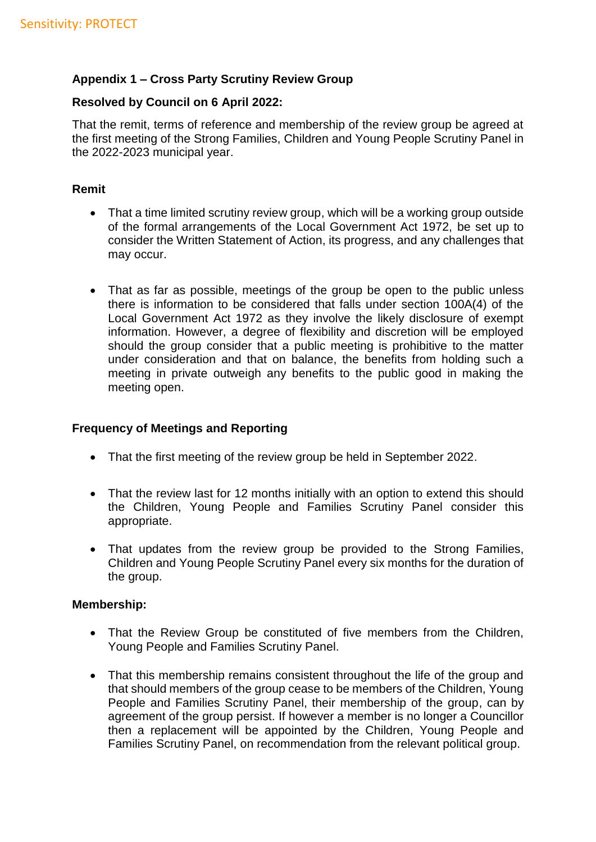# **Appendix 1 – Cross Party Scrutiny Review Group**

### **Resolved by Council on 6 April 2022:**

That the remit, terms of reference and membership of the review group be agreed at the first meeting of the Strong Families, Children and Young People Scrutiny Panel in the 2022-2023 municipal year.

### **Remit**

- That a time limited scrutiny review group, which will be a working group outside of the formal arrangements of the Local Government Act 1972, be set up to consider the Written Statement of Action, its progress, and any challenges that may occur.
- That as far as possible, meetings of the group be open to the public unless there is information to be considered that falls under section 100A(4) of the Local Government Act 1972 as they involve the likely disclosure of exempt information. However, a degree of flexibility and discretion will be employed should the group consider that a public meeting is prohibitive to the matter under consideration and that on balance, the benefits from holding such a meeting in private outweigh any benefits to the public good in making the meeting open.

# **Frequency of Meetings and Reporting**

- That the first meeting of the review group be held in September 2022.
- That the review last for 12 months initially with an option to extend this should the Children, Young People and Families Scrutiny Panel consider this appropriate.
- That updates from the review group be provided to the Strong Families, Children and Young People Scrutiny Panel every six months for the duration of the group.

#### **Membership:**

- That the Review Group be constituted of five members from the Children, Young People and Families Scrutiny Panel.
- That this membership remains consistent throughout the life of the group and that should members of the group cease to be members of the Children, Young People and Families Scrutiny Panel, their membership of the group, can by agreement of the group persist. If however a member is no longer a Councillor then a replacement will be appointed by the Children, Young People and Families Scrutiny Panel, on recommendation from the relevant political group.